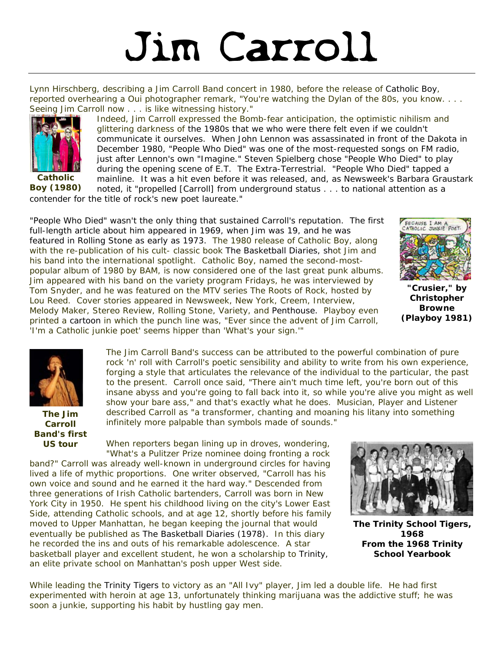## Jim Carroll

Lynn Hirschberg, describing a Jim Carroll Band concert in 1980, before the release of *Catholic Boy*, reported overhearing a *Oui* photographer remark, "You're watching the Dylan of the 80s, you know. . . . Seeing Jim Carroll now . . . is like witnessing history."



*Catholic Boy* **(1980)** 

Indeed, Jim Carroll expressed the Bomb-fear anticipation, the optimistic nihilism and glittering darkness of the 1980s that we who were there felt even if we couldn't communicate it ourselves. When John Lennon was assassinated in front of the Dakota in December 1980, "People Who Died" was one of the most-requested songs on FM radio, just after Lennon's own "Imagine." Steven Spielberg chose "People Who Died" to play during the opening scene of *E.T. The Extra-Terrestrial*. "People Who Died" tapped a mainline. It was a hit even before it was released, and, as Newsweek's Barbara Graustark noted, it "propelled [Carroll] from underground status . . . to national attention as a

contender for the title of rock's new poet laureate."

"People Who Died" wasn't the only thing that sustained Carroll's reputation. The first full-length article about him appeared in 1969, when Jim was 19, and he was featured in *Rolling Stone* as early as 1973. The 1980 release of *Catholic Boy*, along with the re-publication of his cult- classic book *The Basketball Diaries*, shot Jim and his band into the international spotlight. *Catholic Boy*, named the second-mostpopular album of 1980 by *BAM*, is now considered one of the last great punk albums. Jim appeared with his band on the variety program *Fridays*, he was interviewed by Tom Snyder, and he was featured on the MTV series *The Roots of Rock*, hosted by Lou Reed. Cover stories appeared in *Newsweek, New York, Creem, Interview, Melody Maker, Stereo Review, Rolling Stone, Variety*, and *Penthouse*. *Playboy* even printed a cartoon in which the punch line was, "Ever since the advent of Jim Carroll, 'I'm a Catholic junkie poet' seems hipper than 'What's your sign.'"



**"Crusier," by Christopher Browne (Playboy 1981)** 



**The Jim Carroll Band's first US tour** 

The Jim Carroll Band's success can be attributed to the powerful combination of pure rock 'n' roll with Carroll's poetic sensibility and ability to write from his own experience, forging a style that articulates the relevance of the individual to the particular, the past to the present. Carroll once said, "There ain't much time left, you're born out of this insane abyss and you're going to fall back into it, so while you're alive you might as well show your bare ass," and that's exactly what he does. *Musician, Player and Listener* described Carroll as "a transformer, chanting and moaning his litany into something infinitely more palpable than symbols made of sounds."

When reporters began lining up in droves, wondering, "What's a Pulitzer Prize nominee doing fronting a rock

band?" Carroll was already well-known in underground circles for having lived a life of mythic proportions. One writer observed, "Carroll has his own voice and sound and he earned it the hard way." Descended from three generations of Irish Catholic bartenders, Carroll was born in New York City in 1950. He spent his childhood living on the city's Lower East Side, attending Catholic schools, and at age 12, shortly before his family moved to Upper Manhattan, he began keeping the journal that would eventually be published as *The Basketball Diaries* (1978). In this diary he recorded the ins and outs of his remarkable adolescence. A star basketball player and excellent student, he won a scholarship to Trinity, an elite private school on Manhattan's posh upper West side.



**The Trinity School Tigers, 1968**  *From the 1968 Trinity School Yearbook* 

While leading the Trinity Tigers to victory as an "All Ivy" player, Jim led a double life. He had first experimented with heroin at age 13, unfortunately thinking marijuana was the addictive stuff; he was soon a junkie, supporting his habit by hustling gay men.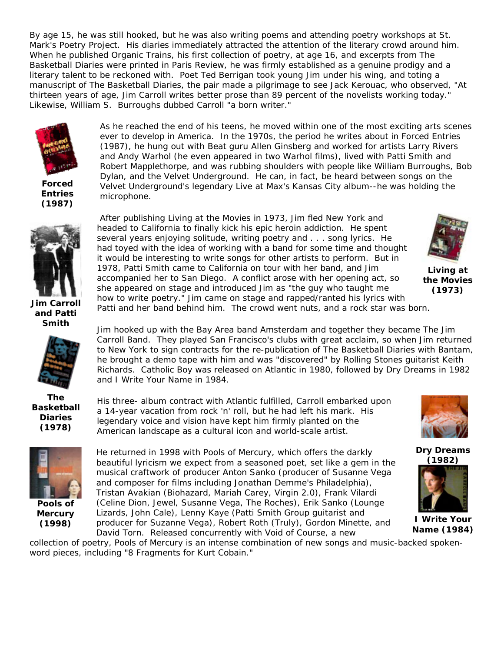By age 15, he was still hooked, but he was also writing poems and attending poetry workshops at St. Mark's Poetry Project. His diaries immediately attracted the attention of the literary crowd around him. When he published *Organic Trains*, his first collection of poetry, at age 16, and excerpts from *The Basketball Diaries* were printed in *Paris Review*, he was firmly established as a genuine prodigy and a literary talent to be reckoned with. Poet Ted Berrigan took young Jim under his wing, and toting a manuscript of *The Basketball Diaries*, the pair made a pilgrimage to see Jack Kerouac, who observed, "At thirteen years of age, Jim Carroll writes better prose than 89 percent of the novelists working today." Likewise, William S. Burroughs dubbed Carroll "a born writer."



*Forced Entries* **(1987)** 

As he reached the end of his teens, he moved within one of the most exciting arts scenes ever to develop in America. In the 1970s, the period he writes about in *Forced Entries* (1987), he hung out with Beat guru Allen Ginsberg and worked for artists Larry Rivers and Andy Warhol (he even appeared in two Warhol films), lived with Patti Smith and Robert Mapplethorpe, and was rubbing shoulders with people like William Burroughs, Bob Dylan, and the Velvet Underground. He can, in fact, be heard between songs on the Velvet Underground's legendary *Live at Max's Kansas City* album--he was holding the microphone.



**Jim Carroll and Patti Smith** 



*The Basketball Diaries* **(1978)** 



*Pools of Mercury* **(1998)**

After publishing *Living at the Movies* in 1973, Jim fled New York and headed to California to finally kick his epic heroin addiction. He spent several years enjoying solitude, writing poetry and . . . song lyrics. He had toyed with the idea of working with a band for some time and thought it would be interesting to write songs for other artists to perform. But in 1978, Patti Smith came to California on tour with her band, and Jim accompanied her to San Diego. A conflict arose with her opening act, so she appeared on stage and introduced Jim as "the guy who taught me how to write poetry." Jim came on stage and rapped/ranted his lyrics with Patti and her band behind him. The crowd went nuts, and a rock star was born. *Living at the Movies* **(1973)** 

Jim hooked up with the Bay Area band Amsterdam and together they became The Jim Carroll Band. They played San Francisco's clubs with great acclaim, so when Jim returned to New York to sign contracts for the re-publication of *The Basketball Diaries* with Bantam, he brought a demo tape with him and was "discovered" by Rolling Stones guitarist Keith Richards. *Catholic Boy* was released on Atlantic in 1980, followed by Dry Dreams in 1982 and I Write Your Name in 1984.

His three- album contract with Atlantic fulfilled, Carroll embarked upon a 14-year vacation from rock 'n' roll, but he had left his mark. His legendary voice and vision have kept him firmly planted on the American landscape as a cultural icon and world-scale artist.

He returned in 1998 with *Pools of Mercury*, which offers the darkly beautiful lyricism we expect from a seasoned poet, set like a gem in the musical craftwork of producer Anton Sanko (producer of Susanne Vega and composer for films including Jonathan Demme's *Philadelphia*), Tristan Avakian (Biohazard, Mariah Carey, Virgin 2.0), Frank Vilardi (Celine Dion, Jewel, Susanne Vega, The Roches), Erik Sanko (Lounge Lizards, John Cale), Lenny Kaye (Patti Smith Group guitarist and producer for Suzanne Vega), Robert Roth (Truly), Gordon Minette, and David Torn. Released concurrently with *Void of Course*, a new



 *Dry Dreams* **(1982)**



 *I Write Your Name* **(1984)**

collection of poetry, *Pools of Mercury* is an intense combination of new songs and music-backed spokenword pieces, including "8 Fragments for Kurt Cobain."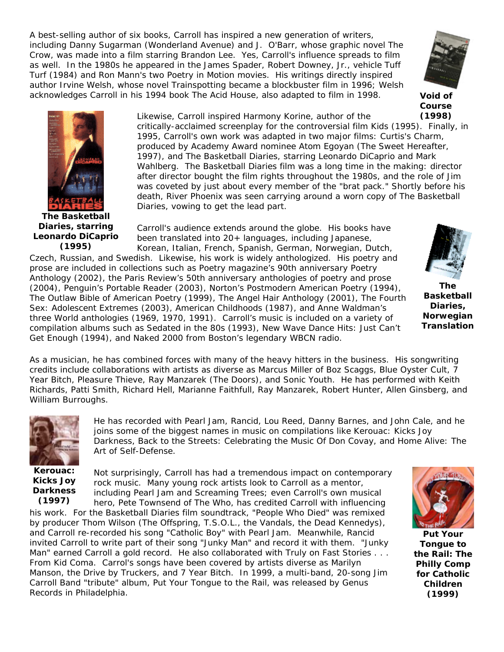A best-selling author of six books, Carroll has inspired a new generation of writers, including Danny Sugarman (*Wonderland Avenue*) and J. O'Barr, whose graphic novel *The Crow*, was made into a film starring Brandon Lee. Yes, Carroll's influence spreads to film as well. In the 1980s he appeared in the James Spader, Robert Downey, Jr., vehicle *Tuff Turf* (1984) and Ron Mann's two *Poetry in Motion* movies. His writings directly inspired author Irvine Welsh, whose novel *Trainspotting* became a blockbuster film in 1996; Welsh acknowledges Carroll in his 1994 book *The Acid House*, also adapted to film in 1998.



*Void of Course* **(1998)**



*The Basketball Diaries***, starring Leonardo DiCaprio (1995)** 

Likewise, Carroll inspired Harmony Korine, author of the critically-acclaimed screenplay for the controversial film *Kids* (1995). Finally, in 1995, Carroll's own work was adapted in two major films: Curtis's Charm, produced by Academy Award nominee Atom Egoyan (*The Sweet Hereafter*, 1997), and *The Basketball Diaries*, starring Leonardo DiCaprio and Mark Wahlberg. The *Basketball Diaries* film was a long time in the making: director after director bought the film rights throughout the 1980s, and the role of Jim was coveted by just about every member of the "brat pack." Shortly before his death, River Phoenix was seen carrying around a worn copy of *The Basketball Diaries*, vowing to get the lead part.

Carroll's audience extends around the globe. His books have been translated into 20+ languages, including Japanese,

Korean, Italian, French, Spanish, German, Norwegian, Dutch, Czech, Russian, and Swedish. Likewise, his work is widely anthologized. His poetry and prose are included in collections such as *Poetry* magazine's 90th anniversary *Poetry Anthology* (2002), the *Paris Review*'s 50th anniversary anthologies of poetry and prose (2004), Penguin's *Portable Reader* (2003), Norton's *Postmodern American Poetry* (1994), *The Outlaw Bible of American Poetry* (1999), *The Angel Hair Anthology* (2001), *The Fourth Sex: Adolescent Extremes* (2003), *American Childhoods* (1987), and Anne Waldman's three *World* anthologies (1969, 1970, 1991). Carroll's music is included on a variety of compilation albums such as *Sedated in the 80s (1993)*, *New Wave Dance Hits: Just Can't Get Enough* (1994), and *Naked 2000* from Boston's legendary WBCN radio.



*The Basketball Diaries***, Norwegian Translation** 

As a musician, he has combined forces with many of the heavy hitters in the business. His songwriting credits include collaborations with artists as diverse as Marcus Miller of Boz Scaggs, Blue Oyster Cult, 7 Year Bitch, Pleasure Thieve, Ray Manzarek (The Doors), and Sonic Youth. He has performed with Keith Richards, Patti Smith, Richard Hell, Marianne Faithfull, Ray Manzarek, Robert Hunter, Allen Ginsberg, and William Burroughs.



*Kerouac: Kicks Joy Darkness* **(1997)** 

He has recorded with Pearl Jam, Rancid, Lou Reed, Danny Barnes, and John Cale, and he joins some of the biggest names in music on compilations like *Kerouac: Kicks Joy Darkness*, *Back to the Streets: Celebrating the Music Of Don Covay*, and *Home Alive: The Art of Self-Defense*.

Not surprisingly, Carroll has had a tremendous impact on contemporary rock music. Many young rock artists look to Carroll as a mentor, including Pearl Jam and Screaming Trees; even Carroll's own musical hero, Pete Townsend of The Who, has credited Carroll with influencing

his work. For the *Basketball Diaries film soundtrack*, "People Who Died" was remixed by producer Thom Wilson (The Offspring, T.S.O.L., the Vandals, the Dead Kennedys), and Carroll re-recorded his song "Catholic Boy" with Pearl Jam. Meanwhile, Rancid invited Carroll to write part of their song "Junky Man" and record it with them. "Junky Man" earned Carroll a gold record. He also collaborated with Truly on *Fast Stories . . . From Kid Coma*. Carrol's songs have been covered by artists diverse as Marilyn Manson, the Drive by Truckers, and 7 Year Bitch. In 1999, a multi-band, 20-song Jim Carroll Band "tribute" album, Put Your Tongue to the Rail, was released by Genus Records in Philadelphia.



*Put Your Tongue to the Rail: The Philly Comp for Catholic Children* **(1999)**